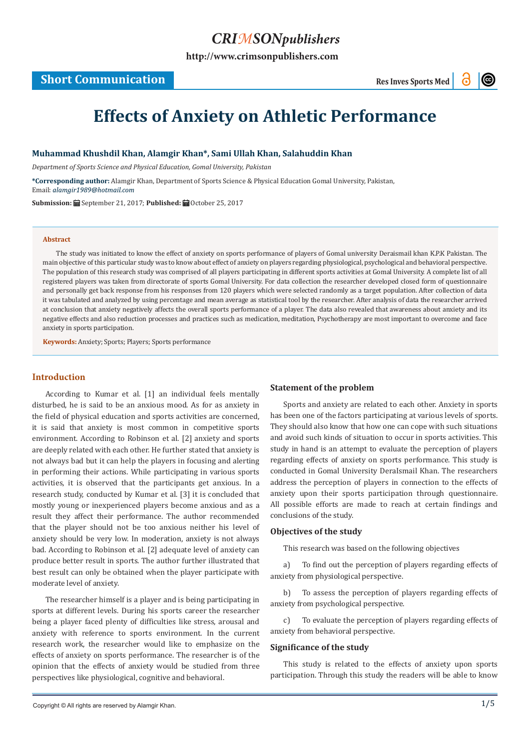# *CRIMSONpublishers*

**[http://www.crimsonpublishers.com](http://crimsonpublishers.com)**

# **Short Communication**

 $\odot$ 

# **Effects of Anxiety on Athletic Performance**

#### **Muhammad Khushdil Khan, Alamgir Khan\*, Sami Ullah Khan, Salahuddin Khan**

*Department of Sports Science and Physical Education, Gomal University, Pakistan*

**\*Corresponding author:** Alamgir Khan, Department of Sports Science & Physical Education Gomal University, Pakistan, Email: alamgir1989@hotmail.com

**Submission:** September 21, 2017; **Published:** October 25, 2017

#### **Abstract**

The study was initiated to know the effect of anxiety on sports performance of players of Gomal university Deraismail khan K.P.K Pakistan. The main objective of this particular study was to know about effect of anxiety on players regarding physiological, psychological and behavioral perspective. The population of this research study was comprised of all players participating in different sports activities at Gomal University. A complete list of all registered players was taken from directorate of sports Gomal University. For data collection the researcher developed closed form of questionnaire and personally get back response from his responses from 120 players which were selected randomly as a target population. After collection of data it was tabulated and analyzed by using percentage and mean average as statistical tool by the researcher. After analysis of data the researcher arrived at conclusion that anxiety negatively affects the overall sports performance of a player. The data also revealed that awareness about anxiety and its negative effects and also reduction processes and practices such as medication, meditation, Psychotherapy are most important to overcome and face anxiety in sports participation.

**Keywords:** Anxiety; Sports; Players; Sports performance

# **Introduction**

According to Kumar et al. [1] an individual feels mentally disturbed, he is said to be an anxious mood. As for as anxiety in the field of physical education and sports activities are concerned, it is said that anxiety is most common in competitive sports environment. According to Robinson et al. [2] anxiety and sports are deeply related with each other. He further stated that anxiety is not always bad but it can help the players in focusing and alerting in performing their actions. While participating in various sports activities, it is observed that the participants get anxious. In a research study, conducted by Kumar et al. [3] it is concluded that mostly young or inexperienced players become anxious and as a result they affect their performance. The author recommended that the player should not be too anxious neither his level of anxiety should be very low. In moderation, anxiety is not always bad. According to Robinson et al. [2] adequate level of anxiety can produce better result in sports. The author further illustrated that best result can only be obtained when the player participate with moderate level of anxiety.

The researcher himself is a player and is being participating in sports at different levels. During his sports career the researcher being a player faced plenty of difficulties like stress, arousal and anxiety with reference to sports environment. In the current research work, the researcher would like to emphasize on the effects of anxiety on sports performance. The researcher is of the opinion that the effects of anxiety would be studied from three perspectives like physiological, cognitive and behavioral.

# **Statement of the problem**

Sports and anxiety are related to each other. Anxiety in sports has been one of the factors participating at various levels of sports. They should also know that how one can cope with such situations and avoid such kinds of situation to occur in sports activities. This study in hand is an attempt to evaluate the perception of players regarding effects of anxiety on sports performance. This study is conducted in Gomal University DeraIsmail Khan. The researchers address the perception of players in connection to the effects of anxiety upon their sports participation through questionnaire. All possible efforts are made to reach at certain findings and conclusions of the study.

#### **Objectives of the study**

This research was based on the following objectives

a) To find out the perception of players regarding effects of anxiety from physiological perspective.

b) To assess the perception of players regarding effects of anxiety from psychological perspective.

c) To evaluate the perception of players regarding effects of anxiety from behavioral perspective.

# **Significance of the study**

This study is related to the effects of anxiety upon sports participation. Through this study the readers will be able to know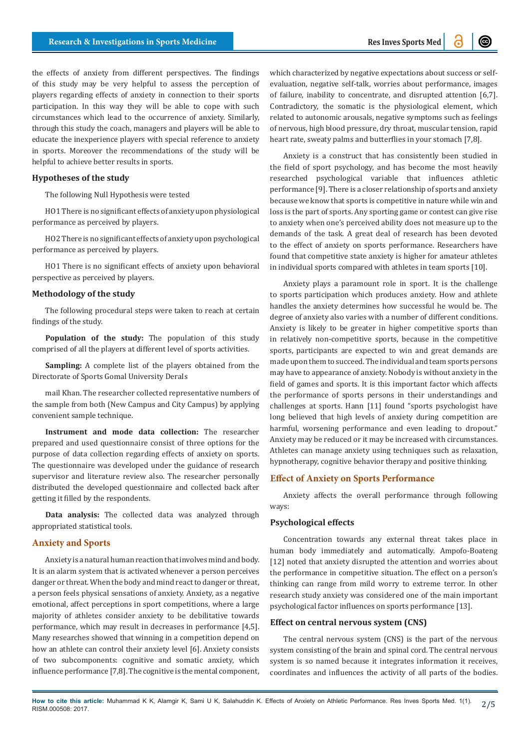the effects of anxiety from different perspectives. The findings of this study may be very helpful to assess the perception of players regarding effects of anxiety in connection to their sports participation. In this way they will be able to cope with such circumstances which lead to the occurrence of anxiety. Similarly, through this study the coach, managers and players will be able to educate the inexperience players with special reference to anxiety in sports. Moreover the recommendations of the study will be helpful to achieve better results in sports.

#### **Hypotheses of the study**

The following Null Hypothesis were tested

HO1 There is no significant effects of anxiety upon physiological performance as perceived by players.

HO2 There is no significant effects of anxiety upon psychological performance as perceived by players.

HO1 There is no significant effects of anxiety upon behavioral perspective as perceived by players.

#### **Methodology of the study**

The following procedural steps were taken to reach at certain findings of the study.

**Population of the study:** The population of this study comprised of all the players at different level of sports activities.

**Sampling:** A complete list of the players obtained from the Directorate of Sports Gomal University DeraIs

mail Khan. The researcher collected representative numbers of the sample from both (New Campus and City Campus) by applying convenient sample technique.

**Instrument and mode data collection:** The researcher prepared and used questionnaire consist of three options for the purpose of data collection regarding effects of anxiety on sports. The questionnaire was developed under the guidance of research supervisor and literature review also. The researcher personally distributed the developed questionnaire and collected back after getting it filled by the respondents.

**Data analysis:** The collected data was analyzed through appropriated statistical tools.

#### **Anxiety and Sports**

Anxiety is a natural human reaction that involves mind and body. It is an alarm system that is activated whenever a person perceives danger or threat. When the body and mind react to danger or threat, a person feels physical sensations of anxiety. Anxiety, as a negative emotional, affect perceptions in sport competitions, where a large majority of athletes consider anxiety to be debilitative towards performance, which may result in decreases in performance [4,5]. Many researches showed that winning in a competition depend on how an athlete can control their anxiety level [6]. Anxiety consists of two subcomponents: cognitive and somatic anxiety, which influence performance [7,8]. The cognitive is the mental component,

which characterized by negative expectations about success or selfevaluation, negative self-talk, worries about performance, images of failure, inability to concentrate, and disrupted attention [6,7]. Contradictory, the somatic is the physiological element, which related to autonomic arousals, negative symptoms such as feelings of nervous, high blood pressure, dry throat, muscular tension, rapid heart rate, sweaty palms and butterflies in your stomach [7,8].

Anxiety is a construct that has consistently been studied in the field of sport psychology, and has become the most heavily researched psychological variable that influences athletic performance [9]. There is a closer relationship of sports and anxiety because we know that sports is competitive in nature while win and loss is the part of sports. Any sporting game or contest can give rise to anxiety when one's perceived ability does not measure up to the demands of the task. A great deal of research has been devoted to the effect of anxiety on sports performance. Researchers have found that competitive state anxiety is higher for amateur athletes in individual sports compared with athletes in team sports [10].

Anxiety plays a paramount role in sport. It is the challenge to sports participation which produces anxiety. How and athlete handles the anxiety determines how successful he would be. The degree of anxiety also varies with a number of different conditions. Anxiety is likely to be greater in higher competitive sports than in relatively non-competitive sports, because in the competitive sports, participants are expected to win and great demands are made upon them to succeed. The individual and team sports persons may have to appearance of anxiety. Nobody is without anxiety in the field of games and sports. It is this important factor which affects the performance of sports persons in their understandings and challenges at sports. Hann [11] found "sports psychologist have long believed that high levels of anxiety during competition are harmful, worsening performance and even leading to dropout." Anxiety may be reduced or it may be increased with circumstances. Athletes can manage anxiety using techniques such as relaxation, hypnotherapy, cognitive behavior therapy and positive thinking.

#### **Effect of Anxiety on Sports Performance**

Anxiety affects the overall performance through following ways:

### **Psychological effects**

Concentration towards any external threat takes place in human body immediately and automatically. Ampofo-Boateng [12] noted that anxiety disrupted the attention and worries about the performance in competitive situation. The effect on a person's thinking can range from mild worry to extreme terror. In other research study anxiety was considered one of the main important psychological factor influences on sports performance [13].

# **Effect on central nervous system (CNS)**

The central nervous system (CNS) is the part of the nervous system consisting of the brain and spinal cord. The central nervous system is so named because it integrates information it receives, coordinates and influences the activity of all parts of the bodies.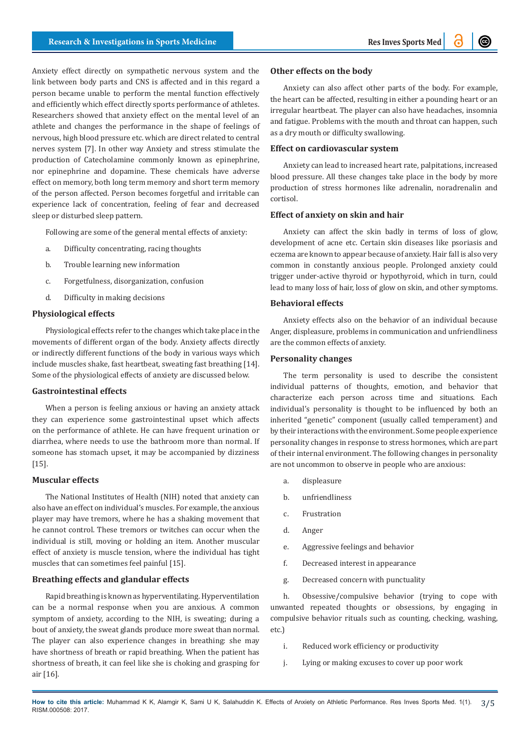Anxiety effect directly on sympathetic nervous system and the link between body parts and CNS is affected and in this regard a person became unable to perform the mental function effectively and efficiently which effect directly sports performance of athletes. Researchers showed that anxiety effect on the mental level of an athlete and changes the performance in the shape of feelings of nervous, high blood pressure etc. which are direct related to central nerves system [7]. In other way Anxiety and stress stimulate the production of Catecholamine commonly known as epinephrine, nor epinephrine and dopamine. These chemicals have adverse effect on memory, both long term memory and short term memory of the person affected. Person becomes forgetful and irritable can experience lack of concentration, feeling of fear and decreased sleep or disturbed sleep pattern.

Following are some of the general mental effects of anxiety:

- a. Difficulty concentrating, racing thoughts
- b. Trouble learning new information
- c. Forgetfulness, disorganization, confusion
- d. Difficulty in making decisions

#### **Physiological effects**

Physiological effects refer to the changes which take place in the movements of different organ of the body. Anxiety affects directly or indirectly different functions of the body in various ways which include muscles shake, fast heartbeat, sweating fast breathing [14]. Some of the physiological effects of anxiety are discussed below.

#### **Gastrointestinal effects**

When a person is feeling anxious or having an anxiety attack they can experience some gastrointestinal upset which affects on the performance of athlete. He can have frequent urination or diarrhea, where needs to use the bathroom more than normal. If someone has stomach upset, it may be accompanied by dizziness [15].

#### **Muscular effects**

The National Institutes of Health (NIH) noted that anxiety can also have an effect on individual's muscles. For example, the anxious player may have tremors, where he has a shaking movement that he cannot control. These tremors or twitches can occur when the individual is still, moving or holding an item. Another muscular effect of anxiety is muscle tension, where the individual has tight muscles that can sometimes feel painful [15].

# **Breathing effects and glandular effects**

Rapid breathing is known as hyperventilating. Hyperventilation can be a normal response when you are anxious. A common symptom of anxiety, according to the NIH, is sweating; during a bout of anxiety, the sweat glands produce more sweat than normal. The player can also experience changes in breathing: she may have shortness of breath or rapid breathing. When the patient has shortness of breath, it can feel like she is choking and grasping for air [16].

#### **Other effects on the body**

Anxiety can also affect other parts of the body. For example, the heart can be affected, resulting in either a pounding heart or an irregular heartbeat. The player can also have headaches, insomnia and fatigue. Problems with the mouth and throat can happen, such as a dry mouth or difficulty swallowing.

#### **Effect on cardiovascular system**

Anxiety can lead to increased heart rate, palpitations, increased blood pressure. All these changes take place in the body by more production of stress hormones like adrenalin, noradrenalin and cortisol.

#### **Effect of anxiety on skin and hair**

Anxiety can affect the skin badly in terms of loss of glow, development of acne etc. Certain skin diseases like psoriasis and eczema are known to appear because of anxiety. Hair fall is also very common in constantly anxious people. Prolonged anxiety could trigger under-active thyroid or hypothyroid, which in turn, could lead to many loss of hair, loss of glow on skin, and other symptoms.

#### **Behavioral effects**

Anxiety effects also on the behavior of an individual because Anger, displeasure, problems in communication and unfriendliness are the common effects of anxiety.

## **Personality changes**

The term personality is used to describe the consistent individual patterns of thoughts, emotion, and behavior that characterize each person across time and situations. Each individual's personality is thought to be influenced by both an inherited "genetic" component (usually called temperament) and by their interactions with the environment. Some people experience personality changes in response to stress hormones, which are part of their internal environment. The following changes in personality are not uncommon to observe in people who are anxious:

- a. displeasure
- b. unfriendliness
- c. Frustration
- d. Anger
- e. Aggressive feelings and behavior
- f. Decreased interest in appearance
- g. Decreased concern with punctuality

h. Obsessive/compulsive behavior (trying to cope with unwanted repeated thoughts or obsessions, by engaging in compulsive behavior rituals such as counting, checking, washing, etc.)

- i. Reduced work efficiency or productivity
- j. Lying or making excuses to cover up poor work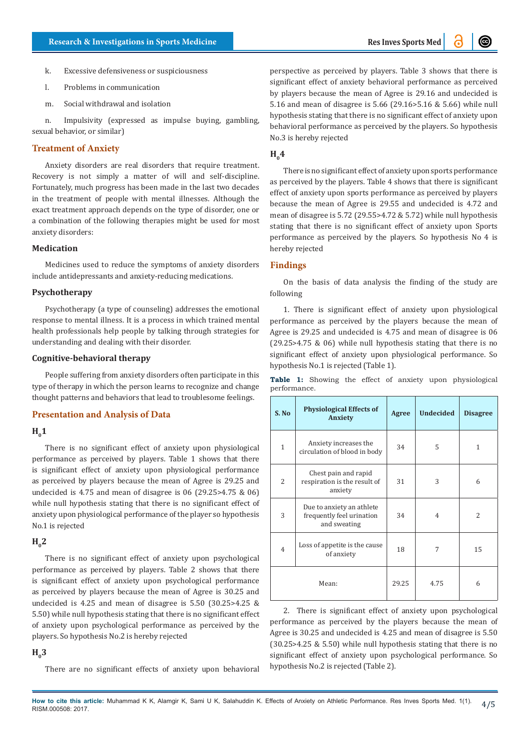- k. Excessive defensiveness or suspiciousness
- l. Problems in communication
- m. Social withdrawal and isolation

n. Impulsivity (expressed as impulse buying, gambling, sexual behavior, or similar)

#### **Treatment of Anxiety**

Anxiety disorders are real disorders that require treatment. Recovery is not simply a matter of will and self-discipline. Fortunately, much progress has been made in the last two decades in the treatment of people with mental illnesses. Although the exact treatment approach depends on the type of disorder, one or a combination of the following therapies might be used for most anxiety disorders:

# **Medication**

Medicines used to reduce the symptoms of anxiety disorders include antidepressants and anxiety-reducing medications.

#### **Psychotherapy**

Psychotherapy (a type of counseling) addresses the emotional response to mental illness. It is a process in which trained mental health professionals help people by talking through strategies for understanding and dealing with their disorder.

#### **Cognitive-behavioral therapy**

People suffering from anxiety disorders often participate in this type of therapy in which the person learns to recognize and change thought patterns and behaviors that lead to troublesome feelings.

#### **Presentation and Analysis of Data**

# $H<sub>0</sub>1$

There is no significant effect of anxiety upon physiological performance as perceived by players. Table 1 shows that there is significant effect of anxiety upon physiological performance as perceived by players because the mean of Agree is 29.25 and undecided is 4.75 and mean of disagree is 06 (29.25>4.75 & 06) while null hypothesis stating that there is no significant effect of anxiety upon physiological performance of the player so hypothesis No.1 is rejected

## $H<sub>0</sub>2$

There is no significant effect of anxiety upon psychological performance as perceived by players. Table 2 shows that there is significant effect of anxiety upon psychological performance as perceived by players because the mean of Agree is 30.25 and undecided is 4.25 and mean of disagree is 5.50 (30.25>4.25 & 5.50) while null hypothesis stating that there is no significant effect of anxiety upon psychological performance as perceived by the players. So hypothesis No.2 is hereby rejected

## $H<sub>0</sub>3$

There are no significant effects of anxiety upon behavioral

perspective as perceived by players. Table 3 shows that there is significant effect of anxiety behavioral performance as perceived by players because the mean of Agree is 29.16 and undecided is 5.16 and mean of disagree is 5.66 (29.16>5.16 & 5.66) while null hypothesis stating that there is no significant effect of anxiety upon behavioral performance as perceived by the players. So hypothesis No.3 is hereby rejected

# $H_4$

There is no significant effect of anxiety upon sports performance as perceived by the players. Table 4 shows that there is significant effect of anxiety upon sports performance as perceived by players because the mean of Agree is 29.55 and undecided is 4.72 and mean of disagree is 5.72 (29.55>4.72 & 5.72) while null hypothesis stating that there is no significant effect of anxiety upon Sports performance as perceived by the players. So hypothesis No 4 is hereby rejected

# **Findings**

On the basis of data analysis the finding of the study are following

1. There is significant effect of anxiety upon physiological performance as perceived by the players because the mean of Agree is 29.25 and undecided is 4.75 and mean of disagree is 06 (29.25>4.75 & 06) while null hypothesis stating that there is no significant effect of anxiety upon physiological performance. So hypothesis No.1 is rejected (Table 1).

**Table 1:** Showing the effect of anxiety upon physiological performance.

| S. No          | <b>Physiological Effects of</b><br>Anxiety                             | Agree | <b>Undecided</b> | <b>Disagree</b> |
|----------------|------------------------------------------------------------------------|-------|------------------|-----------------|
| 1              | Anxiety increases the<br>circulation of blood in body                  | 34    | 5                | 1               |
| $\overline{c}$ | Chest pain and rapid<br>respiration is the result of<br>anxiety        | 31    | 3                | 6               |
| 3              | Due to anxiety an athlete<br>frequently feel urination<br>and sweating | 34    | 4                | $\overline{2}$  |
| $\overline{4}$ | Loss of appetite is the cause<br>of anxiety                            | 18    | 7                | 15              |
|                | Mean:                                                                  | 29.25 | 4.75             | 6               |

2. There is significant effect of anxiety upon psychological performance as perceived by the players because the mean of Agree is 30.25 and undecided is 4.25 and mean of disagree is 5.50 (30.25>4.25 & 5.50) while null hypothesis stating that there is no significant effect of anxiety upon psychological performance. So hypothesis No.2 is rejected (Table 2).